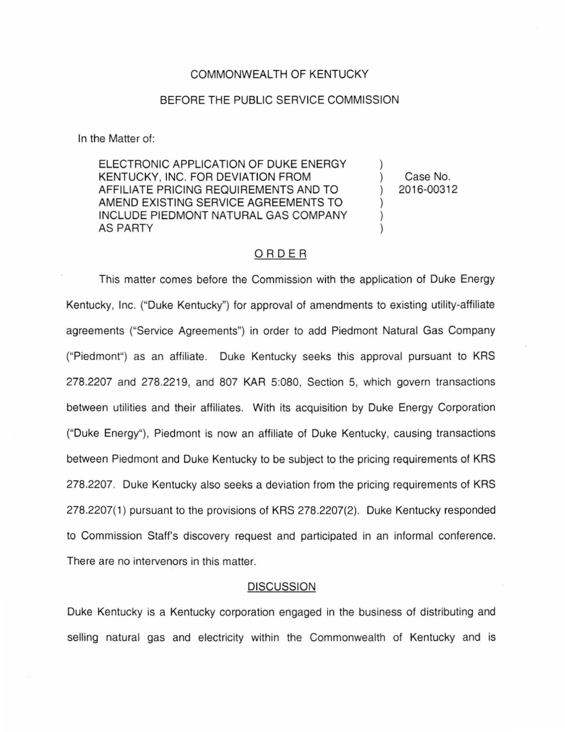### COMMONWEALTH OF KENTUCKY

## BEFORE THE PUBLIC SERVICE COMMISSION

In the Matter of:

ELECTRONIC APPLICATION OF DUKE ENERGY KENTUCKY, INC. FOR DEVIATION FROM AFFILIATE PRICING REQUIREMENTS AND TO AMEND EXISTING SERVICE AGREEMENTS TO INCLUDE PIEDMONT NATURAL GAS COMPANY AS PARTY

) Case No. ) 2016-00312

)

) ) )

# ORDER

This matter comes before the Commission with the application of Duke Energy Kentucky, Inc. ("Duke Kentucky") for approval of amendments to existing utility-affiliate agreements ("Service Agreements") in order to add Piedmont Natural Gas Company ("Piedmont") as an affiliate. Duke Kentucky seeks this approval pursuant to KRS 278.2207 and 278.2219, and 807 KAR 5:080, Section 5, which govern transactions between utilities and their affiliates. With its acquisition by Duke Energy Corporation ("Duke Energy"}, Piedmont is now an affiliate of Duke Kentucky, causing transactions between Piedmont and Duke Kentucky to be subject to the pricing requirements of KRS 278.2207. Duke Kentucky also seeks a deviation from the pricing requirements of KRS 278.2207(1) pursuant to the provisions of KRS 278.2207(2). Duke Kentucky responded to Commission Staff's discovery request and participated in an informal conference. There are no intervenors in this matter.

### **DISCUSSION**

Duke Kentucky is a Kentucky corporation engaged in the business of distributing and selling natural gas and electricity within the Commonwealth of Kentucky and is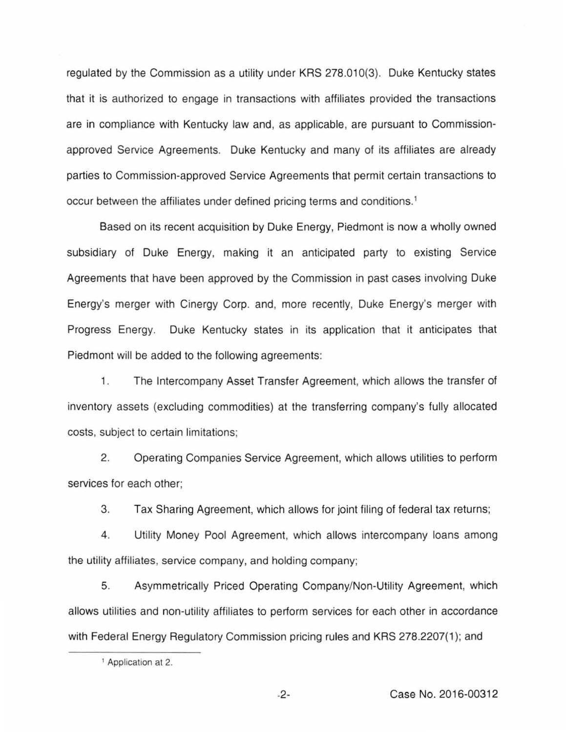regulated by the Commission as a utility under KRS 278.010(3). Duke Kentucky states that it is authorized to engage in transactions with affiliates provided the transactions are in compliance with Kentucky law and, as applicable, are pursuant to Commissionapproved Service Agreements. Duke Kentucky and many of its affiliates are already parties to Commission-approved Service Agreements that permit certain transactions to occur between the affiliates under defined pricing terms and conditions. <sup>1</sup>

Based on its recent acquisition by Duke Energy, Piedmont is now a wholly owned subsidiary of Duke Energy, making it an anticipated party to existing Service Agreements that have been approved by the Commission in past cases involving Duke Energy's merger with Cinergy Corp. and, more recently, Duke Energy's merger with Progress Energy. Duke Kentucky states in its application that it anticipates that Piedmont will be added to the following agreements:

1. The Intercompany Asset Transfer Agreement, which allows the transfer of inventory assets (excluding commodities) at the transferring company's fully allocated costs, subject to certain limitations;

2. Operating Companies Service Agreement, which allows utilities to perform services for each other;

3. Tax Sharing Agreement, which allows for joint filing of federal tax returns;

4. Utility Money Pool Agreement, which allows intercompany loans among the utility affiliates, service company, and holding company;

5. Asymmetrically Priced Operating Company/Non-Utility Agreement, which allows utilities and non-utility affiliates to perform services for each other in accordance with Federal Energy Regulatory Commission pricing rules and KRS 278.2207(1); and

<sup>&</sup>lt;sup>1</sup> Application at 2.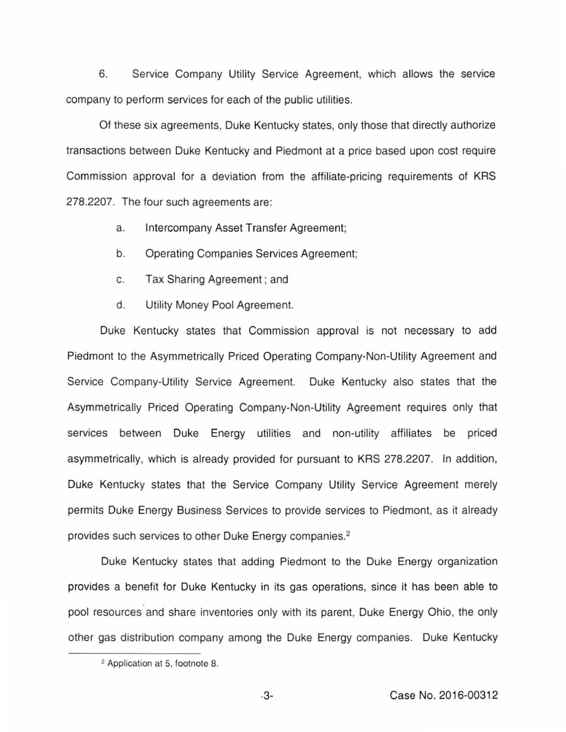6. Service Company Utility Service Agreement, which allows the service company to perform services for each of the public utilities.

Of these six agreements, Duke Kentucky states, only those that directly authorize transactions between Duke Kentucky and Piedmont at a price based upon cost require Commission approval for a deviation from the affiliate-pricing requirements of KRS 278.2207. The four such agreements are:

- a. Intercompany Asset Transfer Agreement;
- b. Operating Companies Services Agreement;
- c. Tax Sharing Agreement ; and
- d. Utility Money Pool Agreement.

Duke Kentucky states that Commission approval is not necessary to add Piedmont to the Asymmetrically Priced Operating Company-Non-Utility Agreement and Service Company-Utility Service Agreement. Duke Kentucky also states that the Asymmetrically Priced Operating Company-Non-Utility Agreement requires only that services between Duke Energy utilities and non-utility affiliates be priced asymmetrically, which is already provided for pursuant to KRS 278.2207. In addition, Duke Kentucky states that the Service Company Utility Service Agreement merely permits Duke Energy Business Services to provide services to Piedmont, as it already provides such services to other Duke Energy companies.<sup>2</sup>

Duke Kentucky states that adding Piedmont to the Duke Energy organization provides a benefit for Duke Kentucky in its gas operations, since it has been able to pool resources and share inventories only with its parent, Duke Energy Ohio, the only other gas distribution company among the Duke Energy companies. Duke Kentucky

<sup>2</sup>Application at 5, footnote 8.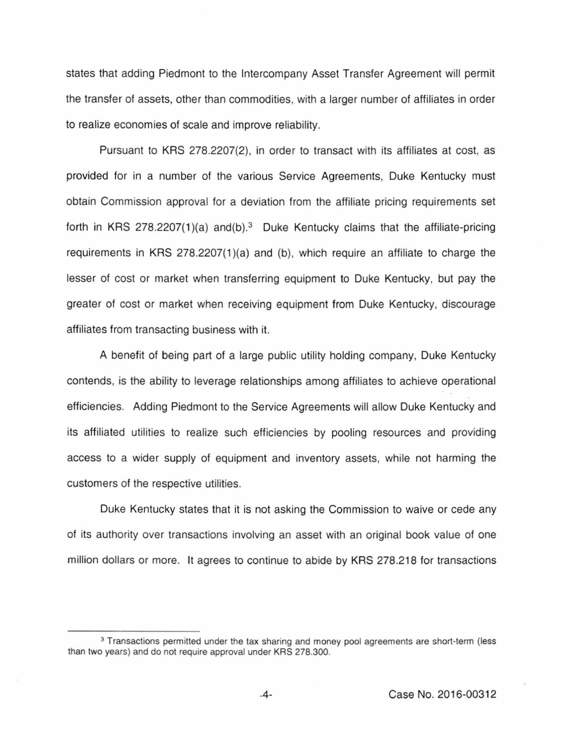states that adding Piedmont to the Intercompany Asset Transfer Agreement will permit the transfer of assets, other than commodities, with a larger number of affiliates in order to realize economies of scale and improve reliability.

Pursuant to KRS 278.2207(2), in order to transact with its affiliates at cost, as provided for in a number of the various Service Agreements, Duke Kentucky must obtain Commission approval for a deviation from the affiliate pricing requirements set forth in KRS 278.2207(1)(a) and(b).<sup>3</sup> Duke Kentucky claims that the affiliate-pricing requirements in KRS  $278.2207(1)(a)$  and (b), which require an affiliate to charge the lesser of cost or market when transferring equipment to Duke Kentucky, but pay the greater of cost or market when receiving equipment from Duke Kentucky, discourage affiliates from transacting business with it.

A benefit of being part of a large public utility holding company, Duke Kentucky contends, is the ability to leverage relationships among affiliates to achieve operational efficiencies. Adding Piedmont to the Service Agreements will allow Duke Kentucky and its affiliated utilities to realize such efficiencies by pooling resources and providing access to a wider supply of equipment and inventory assets, while not harming the customers of the respective utilities.

Duke Kentucky states that it is not asking the Commission to waive or cede any of its authority over transactions involving an asset with an original book value of one million dollars or more. It agrees to continue to abide by KRS 278.218 for transactions

<sup>&</sup>lt;sup>3</sup> Transactions permitted under the tax sharing and money pool agreements are short-term (less than two years) and do not require approval under KRS 278.300.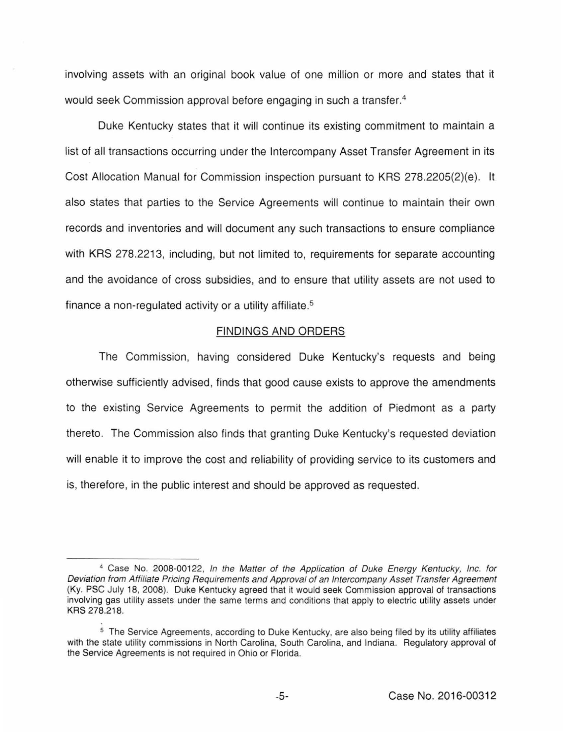involving assets with an original book value of one million or more and states that it would seek Commission approval before engaging in such a transfer. 4

Duke Kentucky states that it will continue its existing commitment to maintain a list of all transactions occurring under the Intercompany Asset Transfer Agreement in its Cost Allocation Manual for Commission inspection pursuant to KRS 278.2205{2)(e). It also states that parties to the Service Agreements will continue to maintain their own records and inventories and will document any such transactions to ensure compliance with KRS 278.2213, including, but not limited to, requirements for separate accounting and the avoidance of cross subsidies, and to ensure that utility assets are not used to finance a non-regulated activity or a utility affiliate.<sup>5</sup>

### FINDINGS AND ORDERS

The Commission, having considered Duke Kentucky's requests and being otherwise sufficiently advised, finds that good cause exists to approve the amendments to the existing Service Agreements to permit the addition of Piedmont as a party thereto. The Commission also finds that granting Duke Kentucky's requested deviation will enable it to improve the cost and reliability of providing service to its customers and is, therefore, in the public interest and should be approved as requested.

<sup>4</sup>Case No. 2008-00122, In the Matter of the Application of Duke Energy Kentucky, Inc. for Deviation from Affiliate Pricing Requirements and Approval of an Intercompany Asset Transfer Agreement (Ky. PSC July 18, 2008). Duke Kentucky agreed that it would seek Commission approval of transactions involving gas utility assets under the same terms and conditions that apply to electric utility assets under KRS 278.218.

<sup>&</sup>lt;sup>5</sup> The Service Agreements, according to Duke Kentucky, are also being filed by its utility affiliates with the state utility commissions in North Carolina, South Carolina, and Indiana. Regulatory approval of the Service Agreements is not required in Ohio or Florida.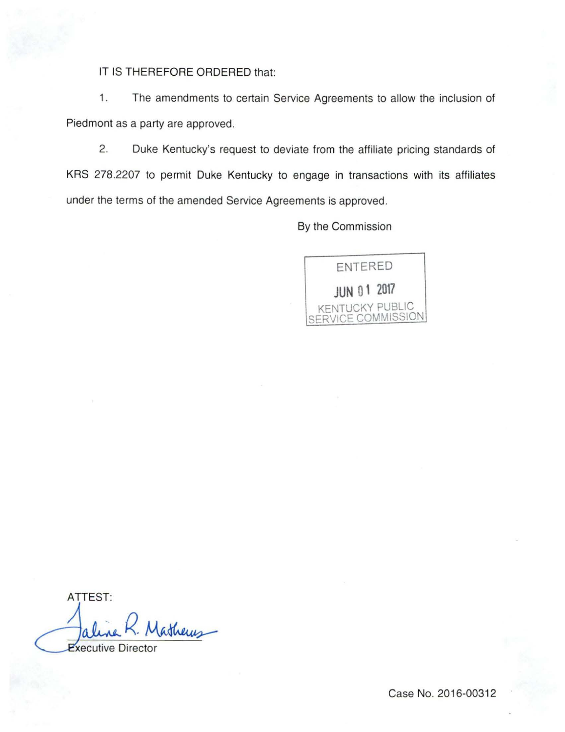IT IS THEREFORE ORDERED that:

1. The amendments to certain Service Agreements to allow the inclusion of Piedmont as a party are approved.

2. Duke Kentucky's request to deviate from the affiliate pricing standards of KRS 278.2207 to permit Duke Kentucky to engage in transactions with its affiliates under the terms of the amended Service Agreements is approved.

By the Commission



ATTEST: itherus **Executive Director** 

Case No. 2016-00312